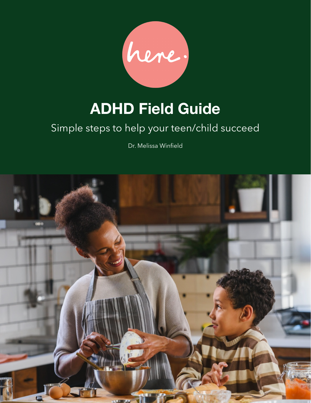

# **ADHD Field Guide**

# Simple steps to help your teen/child succeed

Dr. Melissa Winfield

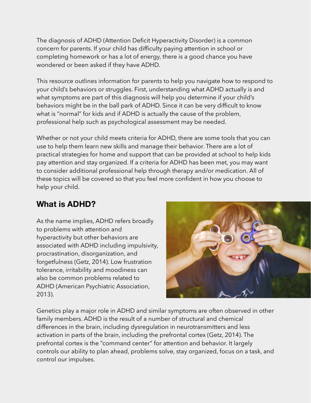The diagnosis of ADHD (Attention Deficit Hyperactivity Disorder) is a common concern for parents. If your child has difficulty paying attention in school or completing homework or has a lot of energy, there is a good chance you have wondered or been asked if they have ADHD.

This resource outlines information for parents to help you navigate how to respond to your child's behaviors or struggles. First, understanding what ADHD actually is and what symptoms are part of this diagnosis will help you determine if your child's behaviors might be in the ball park of ADHD. Since it can be very difficult to know what is "normal" for kids and if ADHD is actually the cause of the problem, professional help such as psychological assessment may be needed.

Whether or not your child meets criteria for ADHD, there are some tools that you can use to help them learn new skills and manage their behavior. There are a lot of practical strategies for home and support that can be provided at school to help kids pay attention and stay organized. If a criteria for ADHD has been met, you may want to consider additional professional help through therapy and/or medication. All of these topics will be covered so that you feel more confident in how you choose to help your child.

# **What is ADHD?**

As the name implies, ADHD refers broadly to problems with attention and hyperactivity but other behaviors are associated with ADHD including impulsivity, procrastination, disorganization, and forgetfulness (Getz, 2014). Low frustration tolerance, irritability and moodiness can also be common problems related to ADHD (American Psychiatric Association, 2013).



Genetics play a major role in ADHD and similar symptoms are often observed in other family members. ADHD is the result of a number of structural and chemical differences in the brain, including dysregulation in neurotransmitters and less activation in parts of the brain, including the prefrontal cortex (Getz, 2014). The prefrontal cortex is the "command center" for attention and behavior. It largely controls our ability to plan ahead, problems solve, stay organized, focus on a task, and control our impulses.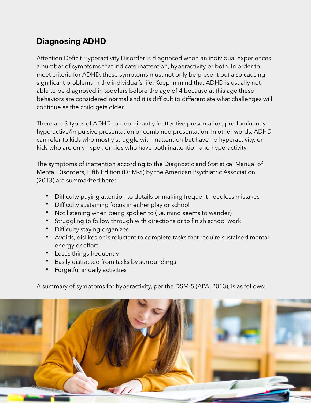## **Diagnosing ADHD**

Attention Deficit Hyperactivity Disorder is diagnosed when an individual experiences a number of symptoms that indicate inattention, hyperactivity or both. In order to meet criteria for ADHD, these symptoms must not only be present but also causing significant problems in the individual's life. Keep in mind that ADHD is usually not able to be diagnosed in toddlers before the age of 4 because at this age these behaviors are considered normal and it is difficult to differentiate what challenges will continue as the child gets older.

There are 3 types of ADHD: predominantly inattentive presentation, predominantly hyperactive/impulsive presentation or combined presentation. In other words, ADHD can refer to kids who mostly struggle with inattention but have no hyperactivity, or kids who are only hyper, or kids who have both inattention and hyperactivity.

The symptoms of inattention according to the Diagnostic and Statistical Manual of Mental Disorders, Fifth Edition (DSM-5) by the American Psychiatric Association (2013) are summarized here:

- Difficulty paying attention to details or making frequent needless mistakes
- Difficulty sustaining focus in either play or school
- Not listening when being spoken to (i.e. mind seems to wander)
- Struggling to follow through with directions or to finish school work
- Difficulty staying organized
- Avoids, dislikes or is reluctant to complete tasks that require sustained mental energy or effort
- Loses things frequently
- Easily distracted from tasks by surroundings
- Forgetful in daily activities

A summary of symptoms for hyperactivity, per the DSM-5 (APA, 2013), is as follows:

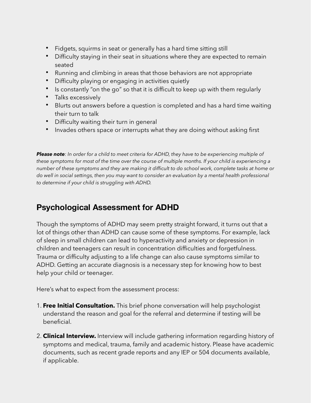- Fidgets, squirms in seat or generally has a hard time sitting still
- Difficulty staying in their seat in situations where they are expected to remain seated
- Running and climbing in areas that those behaviors are not appropriate
- Difficulty playing or engaging in activities quietly
- Is constantly "on the go" so that it is difficult to keep up with them regularly
- Talks excessively
- Blurts out answers before a question is completed and has a hard time waiting their turn to talk
- Difficulty waiting their turn in general
- Invades others space or interrupts what they are doing without asking first

*Please note: In order for a child to meet criteria for ADHD, they have to be experiencing multiple of these symptoms for most of the time over the course of multiple months. If your child is experiencing a number of these symptoms and they are making it difficult to do school work, complete tasks at home or do well in social settings, then you may want to consider an evaluation by a mental health professional to determine if your child is struggling with ADHD.* 

#### **Psychological Assessment for ADHD**

Though the symptoms of ADHD may seem pretty straight forward, it turns out that a lot of things other than ADHD can cause some of these symptoms. For example, lack of sleep in small children can lead to hyperactivity and anxiety or depression in children and teenagers can result in concentration difficulties and forgetfulness. Trauma or difficulty adjusting to a life change can also cause symptoms similar to ADHD. Getting an accurate diagnosis is a necessary step for knowing how to best help your child or teenager.

Here's what to expect from the assessment process:

- 1. **Free Initial Consultation.** This brief phone conversation will help psychologist understand the reason and goal for the referral and determine if testing will be beneficial.
- 2. **Clinical Interview.** Interview will include gathering information regarding history of symptoms and medical, trauma, family and academic history. Please have academic documents, such as recent grade reports and any IEP or 504 documents available, if applicable.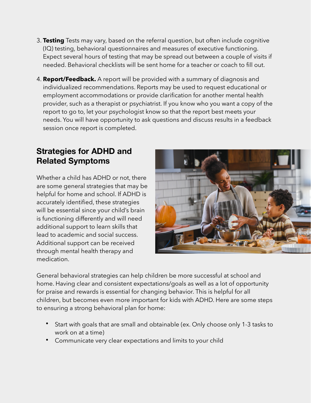- 3. **Testing** Tests may vary, based on the referral question, but often include cognitive (IQ) testing, behavioral questionnaires and measures of executive functioning. Expect several hours of testing that may be spread out between a couple of visits if needed. Behavioral checklists will be sent home for a teacher or coach to fill out.
- 4. **Report/Feedback.** A report will be provided with a summary of diagnosis and individualized recommendations. Reports may be used to request educational or employment accommodations or provide clarification for another mental health provider, such as a therapist or psychiatrist. If you know who you want a copy of the report to go to, let your psychologist know so that the report best meets your needs. You will have opportunity to ask questions and discuss results in a feedback session once report is completed.

#### **Strategies for ADHD and Related Symptoms**

Whether a child has ADHD or not, there are some general strategies that may be helpful for home and school. If ADHD is accurately identified, these strategies will be essential since your child's brain is functioning differently and will need additional support to learn skills that lead to academic and social success. Additional support can be received through mental health therapy and medication.



General behavioral strategies can help children be more successful at school and home. Having clear and consistent expectations/goals as well as a lot of opportunity for praise and rewards is essential for changing behavior. This is helpful for all children, but becomes even more important for kids with ADHD. Here are some steps to ensuring a strong behavioral plan for home:

- Start with goals that are small and obtainable (ex. Only choose only 1-3 tasks to work on at a time)
- Communicate very clear expectations and limits to your child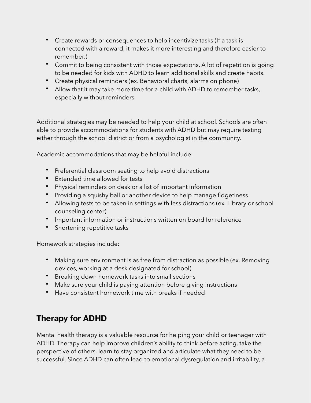- Create rewards or consequences to help incentivize tasks (If a task is connected with a reward, it makes it more interesting and therefore easier to remember.)
- Commit to being consistent with those expectations. A lot of repetition is going to be needed for kids with ADHD to learn additional skills and create habits.
- Create physical reminders (ex. Behavioral charts, alarms on phone)
- Allow that it may take more time for a child with ADHD to remember tasks, especially without reminders

Additional strategies may be needed to help your child at school. Schools are often able to provide accommodations for students with ADHD but may require testing either through the school district or from a psychologist in the community.

Academic accommodations that may be helpful include:

- Preferential classroom seating to help avoid distractions
- Extended time allowed for tests
- Physical reminders on desk or a list of important information
- Providing a squishy ball or another device to help manage fidgetiness
- Allowing tests to be taken in settings with less distractions (ex. Library or school counseling center)
- Important information or instructions written on board for reference
- Shortening repetitive tasks

Homework strategies include:

- Making sure environment is as free from distraction as possible (ex. Removing devices, working at a desk designated for school)
- Breaking down homework tasks into small sections
- Make sure your child is paying attention before giving instructions
- Have consistent homework time with breaks if needed

# **Therapy for ADHD**

Mental health therapy is a valuable resource for helping your child or teenager with ADHD. Therapy can help improve children's ability to think before acting, take the perspective of others, learn to stay organized and articulate what they need to be successful. Since ADHD can often lead to emotional dysregulation and irritability, a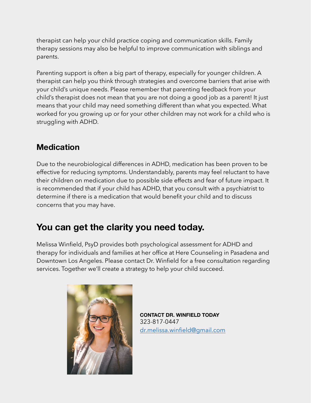therapist can help your child practice coping and communication skills. Family therapy sessions may also be helpful to improve communication with siblings and parents.

Parenting support is often a big part of therapy, especially for younger children. A therapist can help you think through strategies and overcome barriers that arise with your child's unique needs. Please remember that parenting feedback from your child's therapist does not mean that you are not doing a good job as a parent! It just means that your child may need something different than what you expected. What worked for you growing up or for your other children may not work for a child who is struggling with ADHD.

### **Medication**

Due to the neurobiological differences in ADHD, medication has been proven to be effective for reducing symptoms. Understandably, parents may feel reluctant to have their children on medication due to possible side effects and fear of future impact. It is recommended that if your child has ADHD, that you consult with a psychiatrist to determine if there is a medication that would benefit your child and to discuss concerns that you may have.

# **You can get the clarity you need today.**

Melissa Winfield, PsyD provides both psychological assessment for ADHD and therapy for individuals and families at her office at Here Counseling in Pasadena and Downtown Los Angeles. Please contact Dr. Winfield for a free consultation regarding services. Together we'll create a strategy to help your child succeed.



**CONTACT DR. WINFIELD TODAY**  323-817-0447 [dr.melissa.winfield@gmail.com](mailto:dr.melissa.winfield@gmail.com)